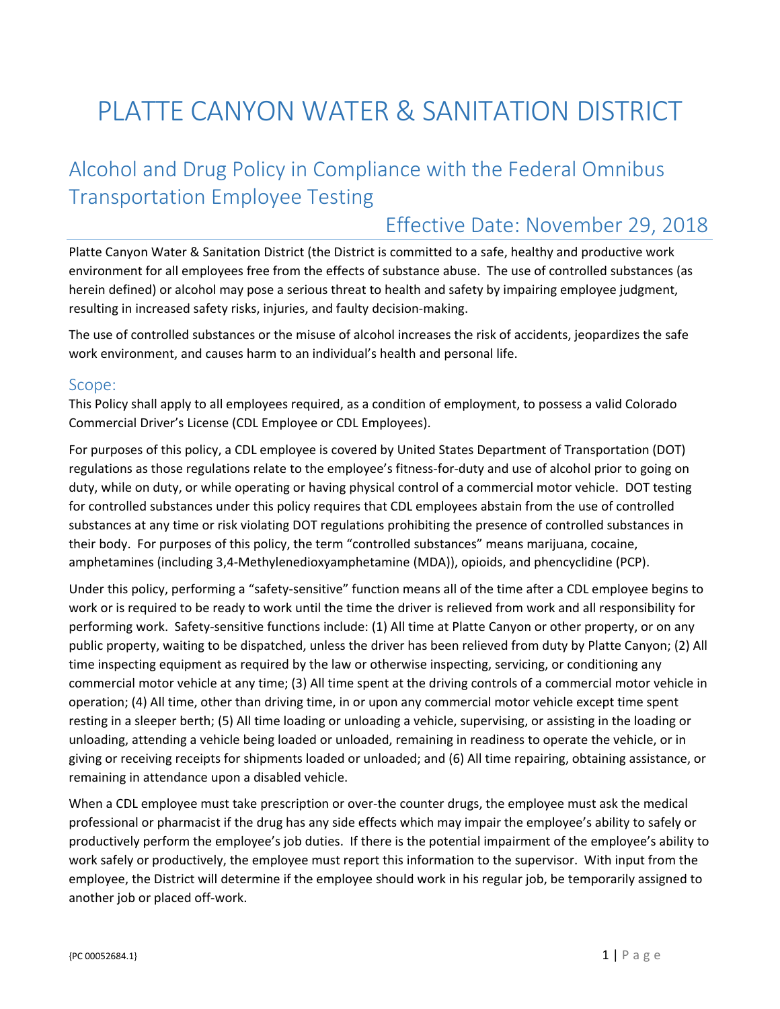# PLATTE CANYON WATER & SANITATION DISTRICT

# Alcohol and Drug Policy in Compliance with the Federal Omnibus Transportation Employee Testing

# Effective Date: November 29, 2018

Platte Canyon Water & Sanitation District (the District is committed to a safe, healthy and productive work environment for all employees free from the effects of substance abuse. The use of controlled substances (as herein defined) or alcohol may pose a serious threat to health and safety by impairing employee judgment, resulting in increased safety risks, injuries, and faulty decision‐making.

The use of controlled substances or the misuse of alcohol increases the risk of accidents, jeopardizes the safe work environment, and causes harm to an individual's health and personal life.

#### Scope:

This Policy shall apply to all employees required, as a condition of employment, to possess a valid Colorado Commercial Driver's License (CDL Employee or CDL Employees).

For purposes of this policy, a CDL employee is covered by United States Department of Transportation (DOT) regulations as those regulations relate to the employee's fitness‐for‐duty and use of alcohol prior to going on duty, while on duty, or while operating or having physical control of a commercial motor vehicle. DOT testing for controlled substances under this policy requires that CDL employees abstain from the use of controlled substances at any time or risk violating DOT regulations prohibiting the presence of controlled substances in their body. For purposes of this policy, the term "controlled substances" means marijuana, cocaine, amphetamines (including 3,4‐Methylenedioxyamphetamine (MDA)), opioids, and phencyclidine (PCP).

Under this policy, performing a "safety‐sensitive" function means all of the time after a CDL employee begins to work or is required to be ready to work until the time the driver is relieved from work and all responsibility for performing work. Safety‐sensitive functions include: (1) All time at Platte Canyon or other property, or on any public property, waiting to be dispatched, unless the driver has been relieved from duty by Platte Canyon; (2) All time inspecting equipment as required by the law or otherwise inspecting, servicing, or conditioning any commercial motor vehicle at any time; (3) All time spent at the driving controls of a commercial motor vehicle in operation; (4) All time, other than driving time, in or upon any commercial motor vehicle except time spent resting in a sleeper berth; (5) All time loading or unloading a vehicle, supervising, or assisting in the loading or unloading, attending a vehicle being loaded or unloaded, remaining in readiness to operate the vehicle, or in giving or receiving receipts for shipments loaded or unloaded; and (6) All time repairing, obtaining assistance, or remaining in attendance upon a disabled vehicle.

When a CDL employee must take prescription or over-the counter drugs, the employee must ask the medical professional or pharmacist if the drug has any side effects which may impair the employee's ability to safely or productively perform the employee's job duties. If there is the potential impairment of the employee's ability to work safely or productively, the employee must report this information to the supervisor. With input from the employee, the District will determine if the employee should work in his regular job, be temporarily assigned to another job or placed off‐work.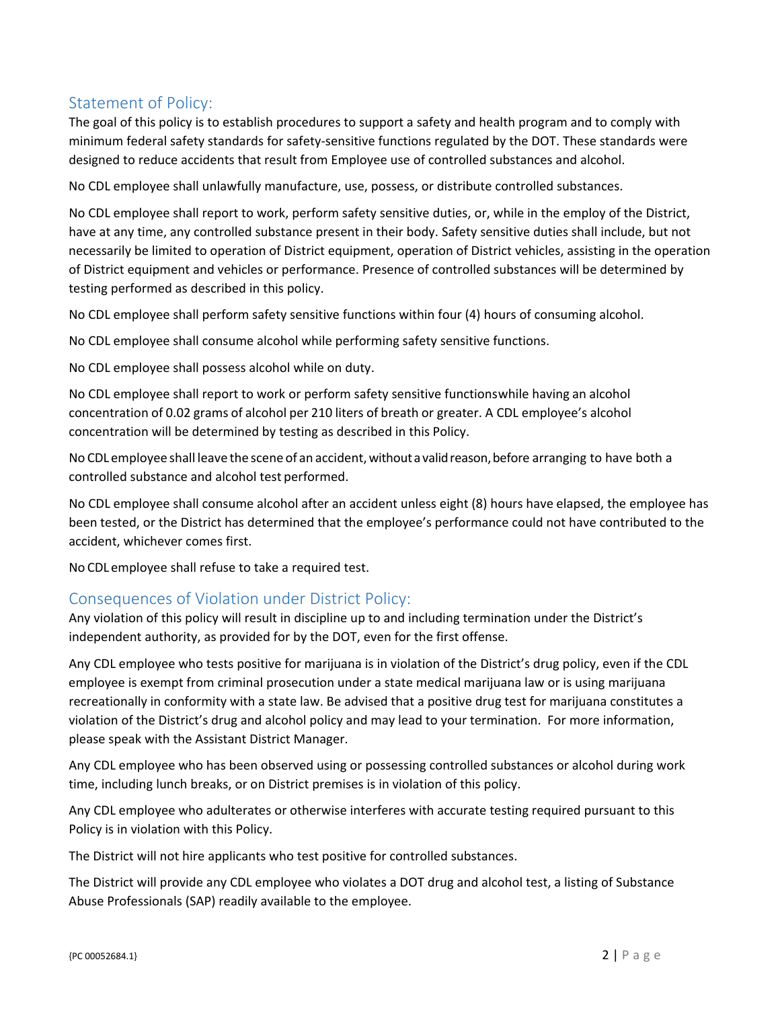# Statement of Policy:

The goal of this policy is to establish procedures to support a safety and health program and to comply with minimum federal safety standards for safety‐sensitive functions regulated by the DOT. These standards were designed to reduce accidents that result from Employee use of controlled substances and alcohol.

No CDL employee shall unlawfully manufacture, use, possess, or distribute controlled substances.

No CDL employee shall report to work, perform safety sensitive duties, or, while in the employ of the District, have at any time, any controlled substance present in their body. Safety sensitive duties shall include, but not necessarily be limited to operation of District equipment, operation of District vehicles, assisting in the operation of District equipment and vehicles or performance. Presence of controlled substances will be determined by testing performed as described in this policy.

No CDL employee shall perform safety sensitive functions within four (4) hours of consuming alcohol.

No CDL employee shall consume alcohol while performing safety sensitive functions.

No CDL employee shall possess alcohol while on duty.

No CDL employee shall report to work or perform safety sensitive functionswhile having an alcohol concentration of 0.02 grams of alcohol per 210 liters of breath or greater. A CDL employee's alcohol concentration will be determined by testing as described in this Policy.

No CDL employee shall leave the scene of an accident, without a valid reason, before arranging to have both a controlled substance and alcohol test performed.

No CDL employee shall consume alcohol after an accident unless eight (8) hours have elapsed, the employee has been tested, or the District has determined that the employee's performance could not have contributed to the accident, whichever comes first.

No CDL employee shall refuse to take a required test.

#### Consequences of Violation under District Policy:

Any violation of this policy will result in discipline up to and including termination under the District's independent authority, as provided for by the DOT, even for the first offense.

Any CDL employee who tests positive for marijuana is in violation of the District's drug policy, even if the CDL employee is exempt from criminal prosecution under a state medical marijuana law or is using marijuana recreationally in conformity with a state law. Be advised that a positive drug test for marijuana constitutes a violation of the District's drug and alcohol policy and may lead to your termination. For more information, please speak with the Assistant District Manager.

Any CDL employee who has been observed using or possessing controlled substances or alcohol during work time, including lunch breaks, or on District premises is in violation of this policy.

Any CDL employee who adulterates or otherwise interferes with accurate testing required pursuant to this Policy is in violation with this Policy.

The District will not hire applicants who test positive for controlled substances.

The District will provide any CDL employee who violates a DOT drug and alcohol test, a listing of Substance Abuse Professionals (SAP) readily available to the employee.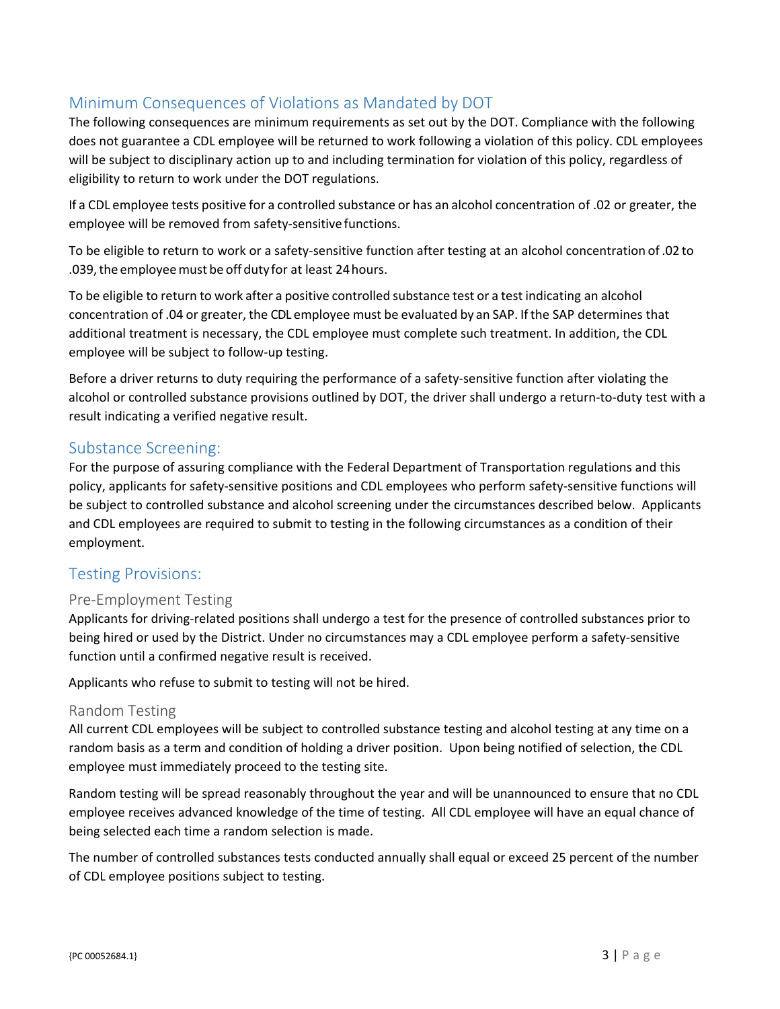# Minimum Consequences of Violations as Mandated by DOT

The following consequences are minimum requirements as set out by the DOT. Compliance with the following does not guarantee a CDL employee will be returned to work following a violation of this policy. CDL employees will be subject to disciplinary action up to and including termination for violation of this policy, regardless of eligibility to return to work under the DOT regulations.

If a CDL employee tests positive for a controlled substance or has an alcohol concentration of .02 or greater, the employee will be removed from safety‐sensitive functions.

To be eligible to return to work or a safety‐sensitive function after testing at an alcohol concentration of .02 to .039,the employeemust be off duty for at least 24hours.

To be eligible to return to work after a positive controlled substance test or a test indicating an alcohol concentration of .04 or greater, the CDL employee must be evaluated by an SAP. If the SAP determines that additional treatment is necessary, the CDL employee must complete such treatment. In addition, the CDL employee will be subject to follow‐up testing.

Before a driver returns to duty requiring the performance of a safety-sensitive function after violating the alcohol or controlled substance provisions outlined by DOT, the driver shall undergo a return‐to‐duty test with a result indicating a verified negative result.

#### Substance Screening:

For the purpose of assuring compliance with the Federal Department of Transportation regulations and this policy, applicants for safety‐sensitive positions and CDL employees who perform safety‐sensitive functions will be subject to controlled substance and alcohol screening under the circumstances described below. Applicants and CDL employees are required to submit to testing in the following circumstances as a condition of their employment.

#### Testing Provisions:

#### Pre‐Employment Testing

Applicants for driving‐related positions shall undergo a test for the presence of controlled substances prior to being hired or used by the District. Under no circumstances may a CDL employee perform a safety-sensitive function until a confirmed negative result is received.

Applicants who refuse to submit to testing will not be hired.

#### Random Testing

All current CDL employees will be subject to controlled substance testing and alcohol testing at any time on a random basis as a term and condition of holding a driver position. Upon being notified of selection, the CDL employee must immediately proceed to the testing site.

Random testing will be spread reasonably throughout the year and will be unannounced to ensure that no CDL employee receives advanced knowledge of the time of testing. All CDL employee will have an equal chance of being selected each time a random selection is made.

The number of controlled substances tests conducted annually shall equal or exceed 25 percent of the number of CDL employee positions subject to testing.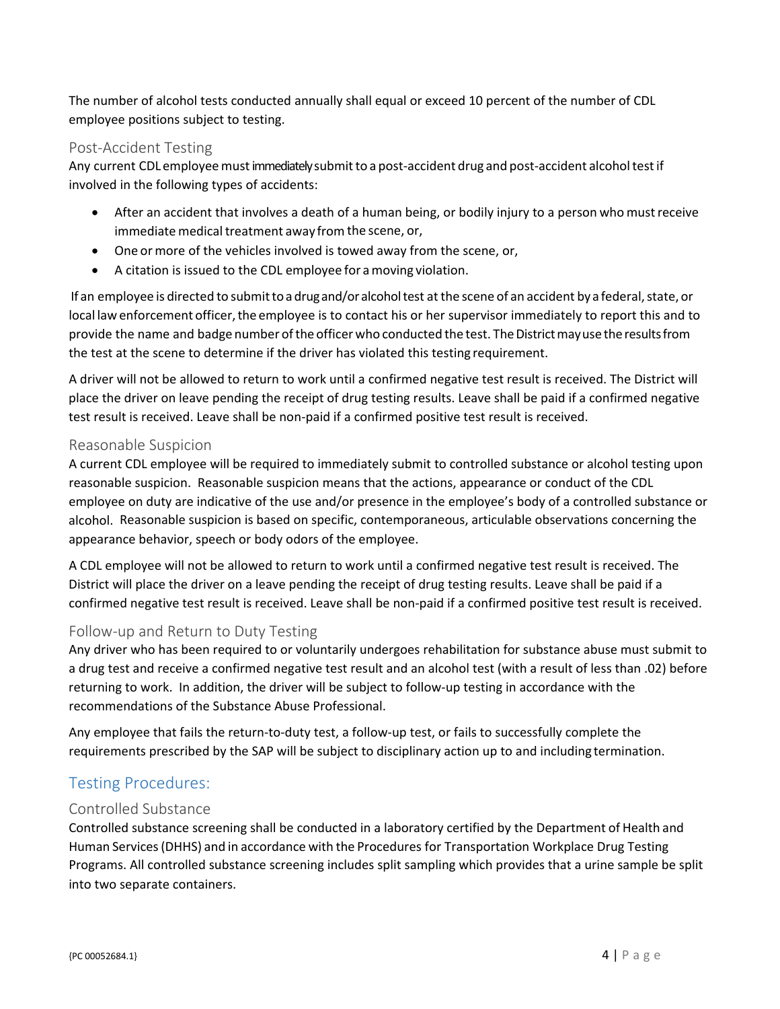The number of alcohol tests conducted annually shall equal or exceed 10 percent of the number of CDL employee positions subject to testing.

#### Post‐Accident Testing

Any current CDL employee must immediately submit to a post-accident drug and post-accident alcohol test if involved in the following types of accidents:

- After an accident that involves a death of a human being, or bodily injury to a person who mustreceive immediate medical treatment away from the scene, or,
- One ormore of the vehicles involved is towed away from the scene, or,
- A citation is issued to the CDL employee for amoving violation.

If an employee is directed to submit to a drugand/or alcoholtest at the scene of an accident by a federal, state, or local law enforcement officer, the employee is to contact his or her supervisor immediately to report this and to provide the name and badge number ofthe officer who conducted the test. TheDistrictmayuse the resultsfrom the test at the scene to determine if the driver has violated this testing requirement.

A driver will not be allowed to return to work until a confirmed negative test result is received. The District will place the driver on leave pending the receipt of drug testing results. Leave shall be paid if a confirmed negative test result is received. Leave shall be non‐paid if a confirmed positive test result is received.

#### Reasonable Suspicion

A current CDL employee will be required to immediately submit to controlled substance or alcohol testing upon reasonable suspicion. Reasonable suspicion means that the actions, appearance or conduct of the CDL employee on duty are indicative of the use and/or presence in the employee's body of a controlled substance or alcohol. Reasonable suspicion is based on specific, contemporaneous, articulable observations concerning the appearance behavior, speech or body odors of the employee.

A CDL employee will not be allowed to return to work until a confirmed negative test result is received. The District will place the driver on a leave pending the receipt of drug testing results. Leave shall be paid if a confirmed negative test result is received. Leave shall be non‐paid if a confirmed positive test result is received.

#### Follow‐up and Return to Duty Testing

Any driver who has been required to or voluntarily undergoes rehabilitation for substance abuse must submit to a drug test and receive a confirmed negative test result and an alcohol test (with a result of less than .02) before returning to work. In addition, the driver will be subject to follow‐up testing in accordance with the recommendations of the Substance Abuse Professional.

Any employee that fails the return‐to‐duty test, a follow‐up test, or fails to successfully complete the requirements prescribed by the SAP will be subject to disciplinary action up to and including termination.

# Testing Procedures:

#### Controlled Substance

Controlled substance screening shall be conducted in a laboratory certified by the Department of Health and Human Services(DHHS) and in accordance with the Procedures for Transportation Workplace Drug Testing Programs. All controlled substance screening includes split sampling which provides that a urine sample be split into two separate containers.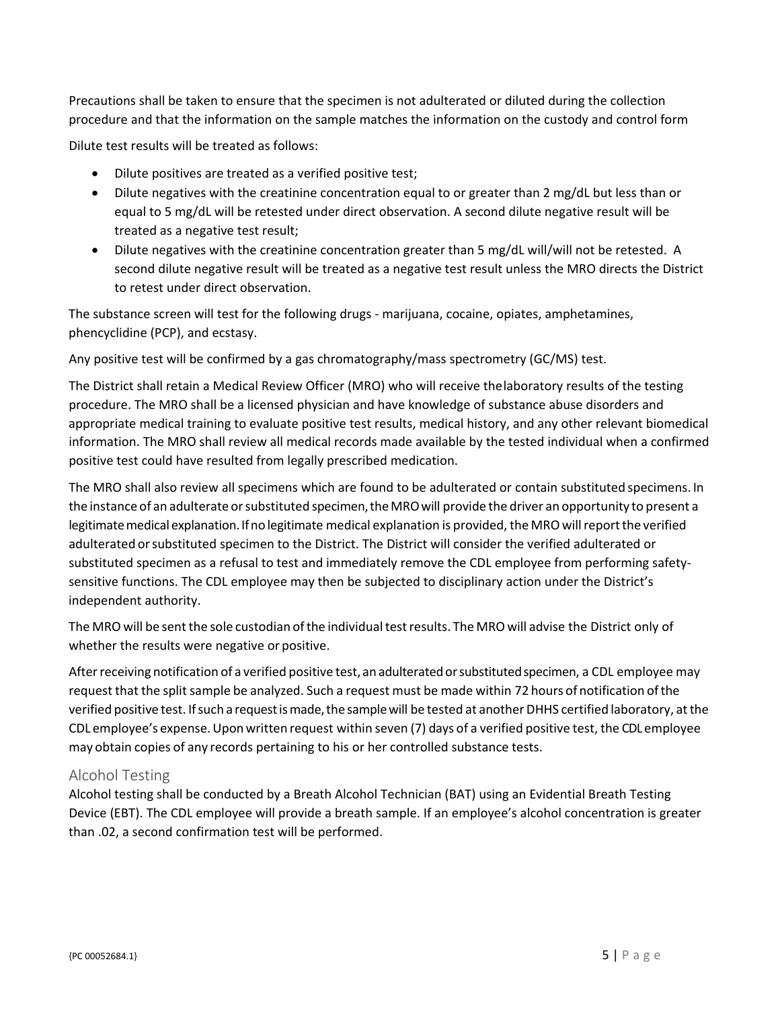Precautions shall be taken to ensure that the specimen is not adulterated or diluted during the collection procedure and that the information on the sample matches the information on the custody and control form

Dilute test results will be treated as follows:

- Dilute positives are treated as a verified positive test;
- Dilute negatives with the creatinine concentration equal to or greater than 2 mg/dL but less than or equal to 5 mg/dL will be retested under direct observation. A second dilute negative result will be treated as a negative test result;
- Dilute negatives with the creatinine concentration greater than 5 mg/dL will/will not be retested. A second dilute negative result will be treated as a negative test result unless the MRO directs the District to retest under direct observation.

The substance screen will test for the following drugs ‐ marijuana, cocaine, opiates, amphetamines, phencyclidine (PCP), and ecstasy.

Any positive test will be confirmed by a gas chromatography/mass spectrometry (GC/MS) test.

The District shall retain a Medical Review Officer (MRO) who will receive thelaboratory results of the testing procedure. The MRO shall be a licensed physician and have knowledge of substance abuse disorders and appropriate medical training to evaluate positive test results, medical history, and any other relevant biomedical information. The MRO shall review all medical records made available by the tested individual when a confirmed positive test could have resulted from legally prescribed medication.

The MRO shall also review all specimens which are found to be adulterated or contain substituted specimens. In the instance of an adulterate or substituted specimen, the MRO will provide the driver an opportunity to present a legitimate medical explanation. If no legitimate medical explanation is provided, the MRO will report the verified adulterated orsubstituted specimen to the District. The District will consider the verified adulterated or substituted specimen as a refusal to test and immediately remove the CDL employee from performing safetysensitive functions. The CDL employee may then be subjected to disciplinary action under the District's independent authority.

The MRO will be sent the sole custodian of the individual test results. The MRO will advise the District only of whether the results were negative or positive.

After receiving notification of a verified positive test, an adulterated or substituted specimen, a CDL employee may request that the split sample be analyzed. Such a request must be made within 72 hours of notification of the verified positive test. If such a request is made, the sample will be tested at another DHHS certified laboratory, at the CDL employee's expense.Uponwritten request within seven (7) days of a verified positive test, the CDL employee may obtain copies of any records pertaining to his or her controlled substance tests.

#### Alcohol Testing

Alcohol testing shall be conducted by a Breath Alcohol Technician (BAT) using an Evidential Breath Testing Device (EBT). The CDL employee will provide a breath sample. If an employee's alcohol concentration is greater than .02, a second confirmation test will be performed.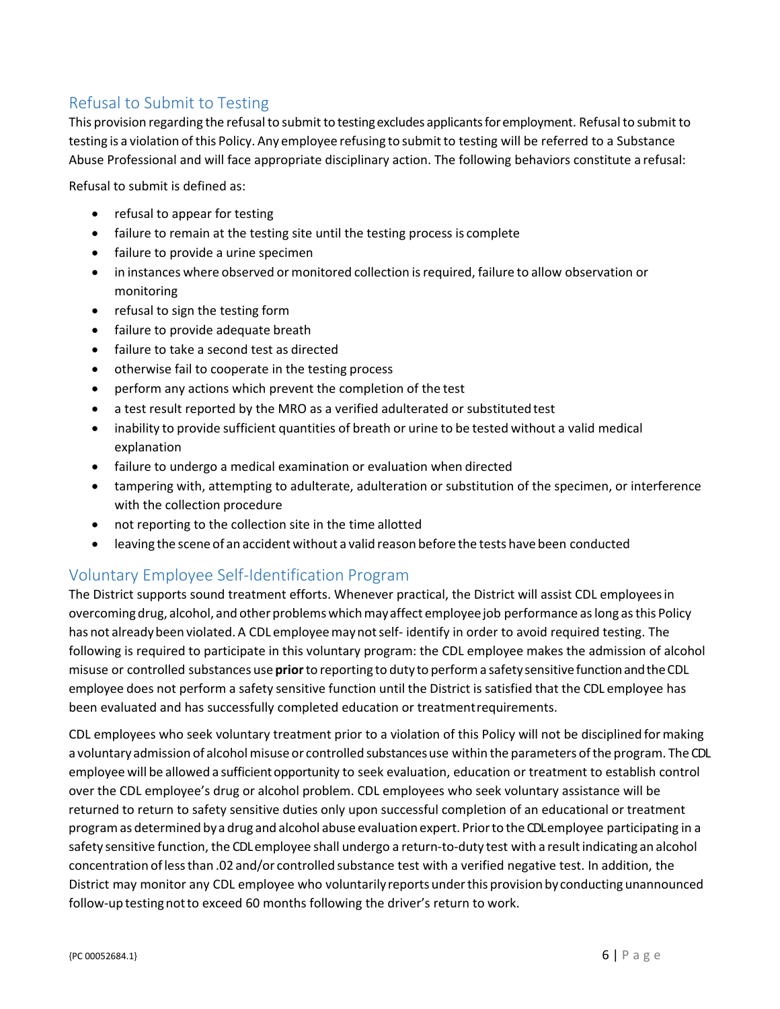# Refusal to Submit to Testing

This provision regarding the refusal to submit to testing excludes applicants for employment. Refusal to submit to testing is a violation ofthis Policy. Any employee refusing to submitto testing will be referred to a Substance Abuse Professional and will face appropriate disciplinary action. The following behaviors constitute a refusal:

Refusal to submit is defined as:

- refusal to appear for testing
- failure to remain at the testing site until the testing process is complete
- failure to provide a urine specimen
- in instances where observed or monitored collection isrequired, failure to allow observation or monitoring
- refusal to sign the testing form
- failure to provide adequate breath
- failure to take a second test as directed
- otherwise fail to cooperate in the testing process
- perform any actions which prevent the completion of the test
- a test result reported by the MRO as a verified adulterated or substitutedtest
- inability to provide sufficient quantities of breath or urine to be tested without a valid medical explanation
- failure to undergo a medical examination or evaluation when directed
- tampering with, attempting to adulterate, adulteration or substitution of the specimen, or interference with the collection procedure
- not reporting to the collection site in the time allotted
- leaving the scene of an accident without a valid reason before the tests have been conducted

# Voluntary Employee Self‐Identification Program

The District supports sound treatment efforts. Whenever practical, the District will assist CDL employeesin overcoming drug, alcohol, and other problems which may affect employee job performance as long as this Policy has not already been violated. A CDL employee may not self-identify in order to avoid required testing. The following is required to participate in this voluntary program: the CDL employee makes the admission of alcohol misuse or controlled substances use **prior**to reporting to duty to performa safety sensitive functionandtheCDL employee does not perform a safety sensitive function until the District is satisfied that the CDL employee has been evaluated and has successfully completed education or treatmentrequirements.

CDL employees who seek voluntary treatment prior to a violation of this Policy will not be disciplined formaking a voluntary admission of alcohol misuse or controlled substances use within the parameters of the program. The CDL employee will be allowed a sufficient opportunity to seek evaluation, education or treatment to establish control over the CDL employee's drug or alcohol problem. CDL employees who seek voluntary assistance will be returned to return to safety sensitive duties only upon successful completion of an educational or treatment programas determined by a drug and alcohol abuse evaluation expert. Priorto the CDLemployee participating in a safety sensitive function, the CDL employee shall undergo a return-to-duty test with a result indicating an alcohol concentration oflessthan .02 and/or controlled substance test with a verified negative test. In addition, the District may monitor any CDL employee who voluntarilyreports underthis provision by conducting unannounced follow-up testing not to exceed 60 months following the driver's return to work.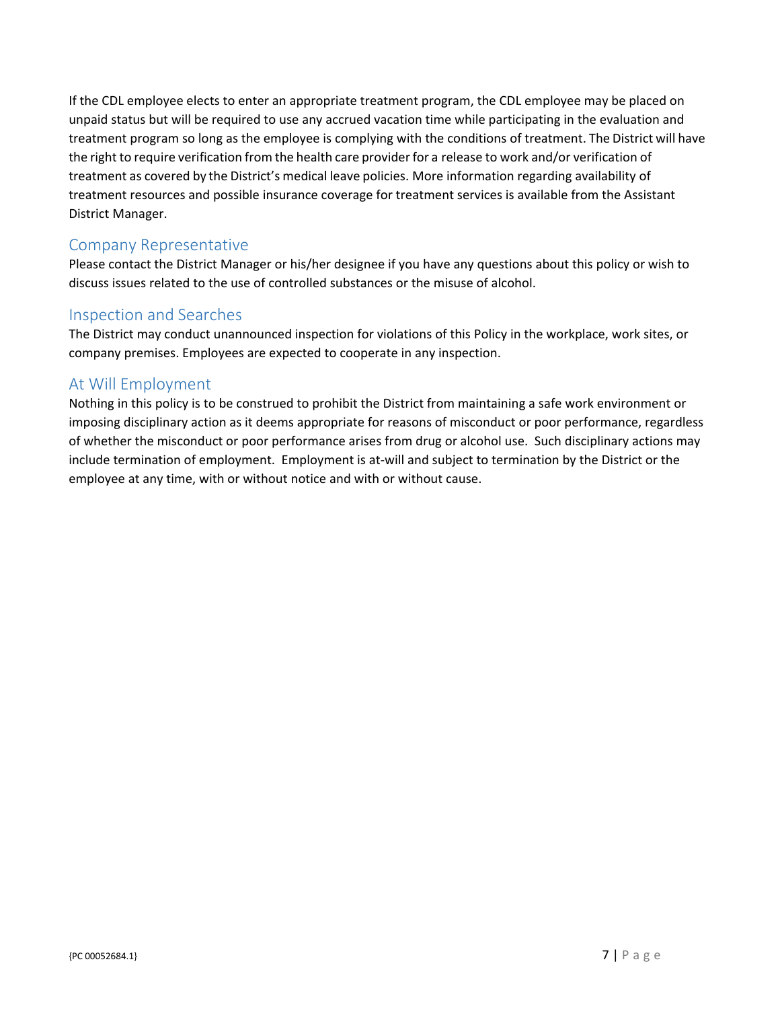If the CDL employee elects to enter an appropriate treatment program, the CDL employee may be placed on unpaid status but will be required to use any accrued vacation time while participating in the evaluation and treatment program so long as the employee is complying with the conditions of treatment. The District will have the right to require verification from the health care provider for a release to work and/or verification of treatment as covered by the District's medical leave policies. More information regarding availability of treatment resources and possible insurance coverage for treatment services is available from the Assistant District Manager.

### Company Representative

Please contact the District Manager or his/her designee if you have any questions about this policy or wish to discuss issues related to the use of controlled substances or the misuse of alcohol.

### Inspection and Searches

The District may conduct unannounced inspection for violations of this Policy in the workplace, work sites, or company premises. Employees are expected to cooperate in any inspection.

#### At Will Employment

Nothing in this policy is to be construed to prohibit the District from maintaining a safe work environment or imposing disciplinary action as it deems appropriate for reasons of misconduct or poor performance, regardless of whether the misconduct or poor performance arises from drug or alcohol use. Such disciplinary actions may include termination of employment. Employment is at‐will and subject to termination by the District or the employee at any time, with or without notice and with or without cause.